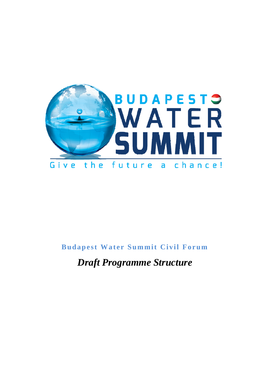

## **Budapest Water Summit Civil Forum**

*Draft Programme Structure*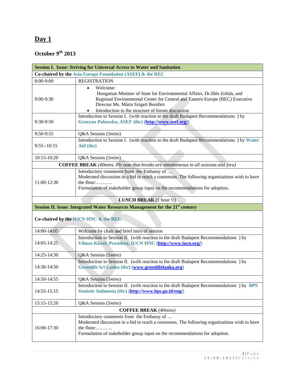## **Day 1**

## **October 9th 2013**

| <b>Session I. Issue: Striving for Universal Access to Water and Sanitation</b> |                                                                                                                                                                                                                                                                                  |  |
|--------------------------------------------------------------------------------|----------------------------------------------------------------------------------------------------------------------------------------------------------------------------------------------------------------------------------------------------------------------------------|--|
| Co-chaired by the Asia Europe Foundation (ASEF) & the REC                      |                                                                                                                                                                                                                                                                                  |  |
| 8:00-9:00                                                                      | <b>REGISTRATION</b>                                                                                                                                                                                                                                                              |  |
| $9:00-9:30$                                                                    | Welcome:<br>$\bullet$<br>Hungarian Minister of State for Environmental Affairs, Dr.Illés Zoltán, and<br>Regional Environmental Center for Central and Eastern Europe (REC) Executive<br>Director Ms. Márta Szigeti Bonifert<br>Introduction to the structure of forum discussion |  |
| 9:30-9:50                                                                      | Introduction to Session I. (with reaction to the draft Budapest Recommendations ) by<br>Grazyna Pulawska, ASEF (tbc) (http://www.asef.org/)                                                                                                                                      |  |
| 9:50-9:55                                                                      | Q&A Session (5mins)                                                                                                                                                                                                                                                              |  |
| $9:55 - 10:15$                                                                 | Introduction to Session I. (with reaction to the draft Budapest Recommendations ) by Water<br>Aid (tbc)                                                                                                                                                                          |  |
| 10:15-10:20                                                                    | Q&A Session (5mins)                                                                                                                                                                                                                                                              |  |
|                                                                                | <b>COFFEE BREAK</b> (40mins. Pls note that breaks are simultaneous in all sessions and fora)                                                                                                                                                                                     |  |
| 11:00-12:30                                                                    | Introductory comments from the Embassy of<br>Moderated discussion in a bid to reach a consensus. The following organisations wish to have<br>the floor: $\dots\dots\dots$<br>Formulation of stakeholder group input on the recommendations for adoption.                         |  |
|                                                                                | <b>LUNCH BREAK</b> $(1 \text{ hour } \frac{1}{2})$                                                                                                                                                                                                                               |  |
|                                                                                | Session II. Issue: Integrated Water Resources Management for the 21 <sup>st</sup> century                                                                                                                                                                                        |  |
| Co-chaired by the IUCN HNC & the REC                                           |                                                                                                                                                                                                                                                                                  |  |
| 14:00-14:05                                                                    | Welcome by chair and brief intro of session                                                                                                                                                                                                                                      |  |
| 14:05-14:25                                                                    | Introduction to Session II. (with reaction to the draft Budapest Recommendations) by<br>Vilmos Kiszel, President, IUCN HNC (http://www.iucn.org/)                                                                                                                                |  |
| 14:25-14:30                                                                    | Q&A Session (5mins)                                                                                                                                                                                                                                                              |  |
| 14:30-14:50                                                                    | Introduction to Session II. (with reaction to the draft Budapest Recommendations) by<br>Greenlife Sri Lanka (tbc) (www.greenlifelanka.org)                                                                                                                                       |  |
| 14:50-14:55                                                                    | Q&A Session (5mins)                                                                                                                                                                                                                                                              |  |
| 14:55-15:15                                                                    | Introduction to Session II. (with reaction to the draft Budapest Recommendations) by BPS<br>Statistic Indonesia (tbc) (http://www.bps.go.id/eng/)                                                                                                                                |  |
| 15:15-15:20                                                                    | Q&A Session (5mins)                                                                                                                                                                                                                                                              |  |
| <b>COFFEE BREAK</b> (40mins)                                                   |                                                                                                                                                                                                                                                                                  |  |
| 16:00-17:30                                                                    | Introductory comments from the Embassy of<br>Moderated discussion in a bid to reach a consensus. The following organisations wish to have<br>the floor:<br>Formulation of stakeholder group input on the recommendations for adoption.                                           |  |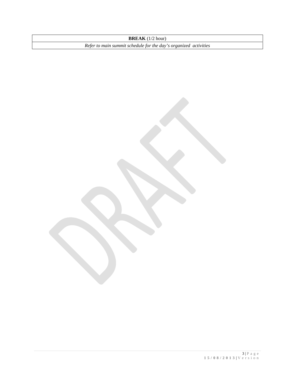**BREAK** (1/2 hour)

*Refer to main summit schedule for the day's organized activities*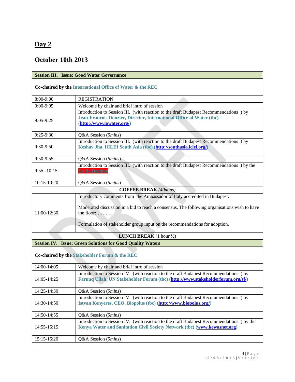#### **Day 2**

#### **October 10th 2013**

| <b>Session III. Issue: Good Water Governance</b>                  |                                                                                                                                                                                                                                                                         |  |
|-------------------------------------------------------------------|-------------------------------------------------------------------------------------------------------------------------------------------------------------------------------------------------------------------------------------------------------------------------|--|
| Co-chaired by the International Office of Water & the REC         |                                                                                                                                                                                                                                                                         |  |
| 8:00-9:00                                                         | <b>REGISTRATION</b>                                                                                                                                                                                                                                                     |  |
| 9:00-9:05                                                         | Welcome by chair and brief intro of session                                                                                                                                                                                                                             |  |
| $9:05-9:25$                                                       | Introduction to Session III. (with reaction to the draft Budapest Recommendations ) by<br>Jean-Francois Donzier, Director, International Office of Water (tbc)<br>(http://www.iowater.org/)                                                                             |  |
| $9:25-9:30$                                                       | Q&A Session (5mins)                                                                                                                                                                                                                                                     |  |
| 9:30-9:50                                                         | Introduction to Session III. (with reaction to the draft Budapest Recommendations ) by<br>Keshav Jha, ICLEI South Asia (tbc) (http://southasia.iclei.org/)                                                                                                              |  |
| 9:50-9:55                                                         | Q&A Session (5mins)                                                                                                                                                                                                                                                     |  |
| $9:55 - 10:15$                                                    | Introduction to Session III. (with reaction to the draft Budapest Recommendations) by the<br><b>To Be Decided</b>                                                                                                                                                       |  |
| 10:15-10:20                                                       | Q&A Session (5mins)                                                                                                                                                                                                                                                     |  |
|                                                                   | <b>COFFEE BREAK</b> (40mins)                                                                                                                                                                                                                                            |  |
| 11:00-12:30                                                       | Introductory comments from the Ambassador of Italy accredited in Budapest.<br>Moderated discussion in a bid to reach a consensus. The following organisations wish to have<br>the floor:<br>Formulation of stakeholder group input on the recommendations for adoption. |  |
|                                                                   | <b>LUNCH BREAK</b> $(1 \text{ hour } \frac{1}{2})$                                                                                                                                                                                                                      |  |
| <b>Session IV. Issue: Green Solutions for Good Quality Waters</b> |                                                                                                                                                                                                                                                                         |  |
| Co-chaired by the Stakeholder Forum & the REC                     |                                                                                                                                                                                                                                                                         |  |
| 14:00-14:05                                                       | Welcome by chair and brief intro of session                                                                                                                                                                                                                             |  |
| 14:05-14:25                                                       | Introduction to Session IV. (with reaction to the draft Budapest Recommendations ) by<br>Faruuq Ullah, UN Stakeholder Forum (tbc) (http://www.stakeholderforum.org/sf/)                                                                                                 |  |
| 14:25-14:30                                                       | Q&A Session (5mins)                                                                                                                                                                                                                                                     |  |
| 14:30-14:50                                                       | Introduction to Session IV. (with reaction to the draft Budapest Recommendations ) by<br>Istvan Kenyeres, CEO, Biopolus (tbc) (http://www.biopolus.org/)                                                                                                                |  |
| 14:50-14:55                                                       | Q&A Session (5mins)                                                                                                                                                                                                                                                     |  |
| 14:55-15:15                                                       | Introduction to Session IV. (with reaction to the draft Budapest Recommendations) by the<br>Kenya Water and Sanitation Civil Society Network (tbc) (www.kewasnet.org)                                                                                                   |  |
| 15:15-15:20                                                       | Q&A Session (5mins)                                                                                                                                                                                                                                                     |  |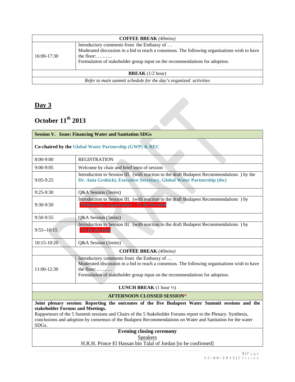| <b>COFFEE BREAK</b> (40mins)                                     |                                                                                                                                                                                                                                        |  |
|------------------------------------------------------------------|----------------------------------------------------------------------------------------------------------------------------------------------------------------------------------------------------------------------------------------|--|
| 16:00-17:30                                                      | Introductory comments from the Embassy of<br>Moderated discussion in a bid to reach a consensus. The following organisations wish to have<br>the floor:<br>Formulation of stakeholder group input on the recommendations for adoption. |  |
| <b>BREAK</b> $(1/2$ hour)                                        |                                                                                                                                                                                                                                        |  |
| Refer to main summit schedule for the day's organized activities |                                                                                                                                                                                                                                        |  |

## **Day 3**

# **October 11th 2013**

| Day $3$<br>October 11 <sup>th</sup> 2013<br><b>Session V. Issue: Financing Water and Sanitation SDGs</b><br>Co-chaired by the Global Water Partnership (GWP) & REC                                                                                                                                                                                                            |                                                                                                                                                                                                                                                 |  |             |                                                                                                                                                                     |
|-------------------------------------------------------------------------------------------------------------------------------------------------------------------------------------------------------------------------------------------------------------------------------------------------------------------------------------------------------------------------------|-------------------------------------------------------------------------------------------------------------------------------------------------------------------------------------------------------------------------------------------------|--|-------------|---------------------------------------------------------------------------------------------------------------------------------------------------------------------|
|                                                                                                                                                                                                                                                                                                                                                                               |                                                                                                                                                                                                                                                 |  | 8:00-9:00   | <b>REGISTRATION</b>                                                                                                                                                 |
|                                                                                                                                                                                                                                                                                                                                                                               |                                                                                                                                                                                                                                                 |  | 9:00-9:05   | Welcome by chair and brief intro of session                                                                                                                         |
|                                                                                                                                                                                                                                                                                                                                                                               |                                                                                                                                                                                                                                                 |  | $9:05-9:25$ | Introduction to Session III. (with reaction to the draft Budapest Recommendations) by the<br>Dr. Ania Grobicki, Executive Secretary, Global Water Partnership (tbc) |
| $9:25-9:30$                                                                                                                                                                                                                                                                                                                                                                   | Q&A Session (5mins)                                                                                                                                                                                                                             |  |             |                                                                                                                                                                     |
| 9:30-9:50                                                                                                                                                                                                                                                                                                                                                                     | Introduction to Session III. (with reaction to the draft Budapest Recommendations ) by<br><b>Philantropy organisation - To Be Decided</b>                                                                                                       |  |             |                                                                                                                                                                     |
| 9:50-9:55                                                                                                                                                                                                                                                                                                                                                                     | Q&A Session (5mins)                                                                                                                                                                                                                             |  |             |                                                                                                                                                                     |
| $9:55 - 10:15$                                                                                                                                                                                                                                                                                                                                                                | Introduction to Session III. (with reaction to the draft Budapest Recommendations ) by<br><b>To Be Decided</b>                                                                                                                                  |  |             |                                                                                                                                                                     |
| $10:15 - 10:20$                                                                                                                                                                                                                                                                                                                                                               | Q&A Session (5mins)                                                                                                                                                                                                                             |  |             |                                                                                                                                                                     |
|                                                                                                                                                                                                                                                                                                                                                                               | <b>COFFEE BREAK (40mins)</b>                                                                                                                                                                                                                    |  |             |                                                                                                                                                                     |
| 11:00-12:30                                                                                                                                                                                                                                                                                                                                                                   | Introductory comments from the Embassy of<br>Moderated discussion in a bid to reach a consensus. The following organisations wish to have<br>the floor: $\ldots$<br>Formulation of stakeholder group input on the recommendations for adoption. |  |             |                                                                                                                                                                     |
|                                                                                                                                                                                                                                                                                                                                                                               | <b>LUNCH BREAK</b> $(1 \text{ hour } \frac{1}{2})$                                                                                                                                                                                              |  |             |                                                                                                                                                                     |
| <b>AFTERNOON CLOSSED SESSION*</b>                                                                                                                                                                                                                                                                                                                                             |                                                                                                                                                                                                                                                 |  |             |                                                                                                                                                                     |
| Joint plenary session: Reporting the outcomes of the five Budapest Water Summit sessions and the<br>stakeholder Forums and Meetings.<br>Rapporteurs of the 5 Summit sessions and Chairs of the 5 Stakeholder Forums report to the Plenary. Synthesis,<br>conclusions and adoption by consensus of the Budapest Recommendations on Water and Sanitation for the water<br>SDGs. |                                                                                                                                                                                                                                                 |  |             |                                                                                                                                                                     |
| <b>Evening closing ceremony</b><br><b>Speakers</b>                                                                                                                                                                                                                                                                                                                            |                                                                                                                                                                                                                                                 |  |             |                                                                                                                                                                     |
|                                                                                                                                                                                                                                                                                                                                                                               | H.R.H. Prince El Hassan bin Talal of Jordan [to be confirmed]                                                                                                                                                                                   |  |             |                                                                                                                                                                     |